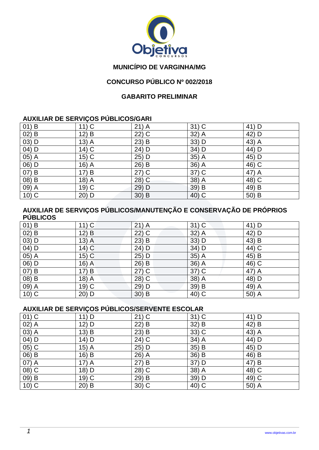

## **MUNICÍPIO DE VARGINHA/MG**

## **CONCURSO PÚBLICO Nº 002/2018**

#### **GABARITO PRELIMINAR**

### **AUXILIAR DE SERVIÇOS PÚBLICOS/GARI**

| $01)$ B | $11)$ C | $21)$ A | $31)$ C | 41) D |
|---------|---------|---------|---------|-------|
| $02)$ B | 12) B   | $22)$ C | 32) A   | 42) D |
| $03)$ D | $13)$ A | $23)$ B | 33) D   | 43) A |
| 04) D   | $14)$ C | 24) D   | 34) D   | 44) D |
| 05) A   | $15)$ C | 25) D   | 35) A   | 45) D |
| 06) D   | $16)$ A | 26) B   | 36) A   | 46) C |
| 07) B   | 17) B   | $27)$ C | 37) C   | 47) A |
| 08) B   | 18) A   | 28) C   | 38) A   | 48) C |
| 09) A   | 19) C   | 29) D   | 39) B   | 49) B |
| $10)$ C | 20) D   | $30)$ B | 40) C   | 50) B |

### **AUXILIAR DE SERVIÇOS PÚBLICOS/MANUTENÇÃO E CONSERVAÇÃO DE PRÓPRIOS PÚBLICOS**

| $01)$ B | $11)$ C | $21)$ A | $31)$ C | 41) D |
|---------|---------|---------|---------|-------|
| $02)$ B | 12) B   | $22)$ C | 32) A   | 42) D |
| $03)$ D | $13)$ A | $23)$ B | 33) D   | 43) B |
| $04)$ D | $14)$ C | 24) D   | 34) D   | 44) C |
| 05) A   | $15)$ C | 25) D   | $35)$ A | 45) B |
| 06) D   | $16)$ A | 26) B   | 36) A   | 46) C |
| $07)$ B | 17) B   | $27)$ C | 37) C   | 47) A |
| 08) B   | 18) A   | 28) C   | 38) A   | 48) D |
| 09) A   | $19)$ C | 29) D   | 39) B   | 49) A |
| $10)$ C | 20) D   | 30) B   | 40) C   | 50) A |

#### **AUXILIAR DE SERVIÇOS PÚBLICOS/SERVENTE ESCOLAR**

| $01)$ C | 11) D   | $21)$ C | $31)$ C | 41) D |
|---------|---------|---------|---------|-------|
| $02)$ A | 12) D   | $22)$ B | $32)$ B | 42) B |
| 03) A   | $13)$ B | $23)$ B | 33) C   | 43) A |
| 04) D   | $14)$ D | 24) C   | 34) A   | 44) D |
| $05)$ C | $15)$ A | 25) D   | 35) B   | 45) D |
| 06) B   | 16) B   | 26) A   | 36) B   | 46) B |
| 07) A   | $17)$ A | 27) B   | 37) D   | 47) B |
| 08) C   | 18) D   | 28) C   | 38) A   | 48) C |
| 09) B   | $19)$ C | 29) B   | 39) D   | 49) C |
| $10)$ C | $20)$ B | $30)$ C | 40) C   | 50) A |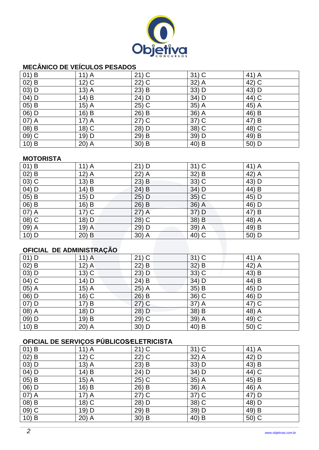

# **MECÂNICO DE VEÍCULOS PESADOS**

| $01)$ B | $11)$ A | $21)$ C | $31)$ C | 41) A |
|---------|---------|---------|---------|-------|
| $02)$ B | $12)$ C | $22)$ C | 32) A   | 42) C |
| $03)$ D | $13)$ A | $23)$ B | 33) D   | 43) D |
| 04) D   | 14) B   | 24) D   | 34) D   | 44) C |
| $05)$ B | $15)$ A | $25)$ C | 35) A   | 45) A |
| 06) D   | 16) B   | 26) B   | 36) A   | 46) B |
| $07)$ A | $17)$ A | $27)$ C | 37) C   | 47) B |
| 08) B   | $18)$ C | 28) D   | 38) C   | 48) C |
| 09) C   | 19) D   | 29) B   | 39) D   | 49) B |
| $10)$ B | 20) A   | 30) B   | 40) B   | 50) D |

#### **MOTORISTA**

| $01)$ B             | $11)$ A | $21)$ D  | $31)$ C | 41) A |
|---------------------|---------|----------|---------|-------|
| $02)$ B             | $12)$ A | $22)$ A  | 32) B   | 42) A |
| $\overline{03}$ ) C | $13)$ B | $23)$ B  | 33) C   | 43) D |
| 04) D               | 14) B   | 24) B    | 34) D   | 44) B |
| $05)$ B             | 15) D   | 25) D    | $35)$ C | 45) D |
| $(06)$ B            | 16) B   | 26) B    | 36) A   | 46) D |
| 07) A               | $17)$ C | $27)$ A  | 37) D   | 47) B |
| 08) C               | 18) D   | $(28)$ C | $38)$ B | 48) A |
| 09) A               | 19) A   | 29) D    | 39) A   | 49) B |
| 10) D               | $20)$ B | $30)$ A  | 40) C   | 50) D |

## **OFICIAL DE ADMINISTRAÇÃO**

| $01)$ D | $11)$ A | $21)$ C | $31)$ C | 41) A |
|---------|---------|---------|---------|-------|
| $02)$ B | $12)$ A | $22)$ B | 32) B   | 42) A |
| 03) D   | $13)$ C | $23)$ D | 33) C   | 43) B |
| 04) C   | 14) D   | $24)$ B | 34) D   | 44) B |
| $05)$ A | $15)$ A | $25)$ A | 35) B   | 45) D |
| 06) D   | 16) C   | $26)$ B | 36) C   | 46) D |
| 07) D   | 17) B   | $27)$ C | $37)$ A | 47) C |
| 08) A   | 18) D   | 28) D   | 38) B   | 48) A |
| 09) D   | 19) B   | 29) C   | 39) A   | 49) C |
| $10)$ B | $20)$ A | 30) D   | 40) B   | 50) C |

# **OFICIAL DE SERVIÇOS PÚBLICOS∕ELETRICISTA**

| $01)$ B  | $11)$ A | $21)$ C | $31)$ C | 41) A |
|----------|---------|---------|---------|-------|
| $02)$ B  | $12)$ C | $22)$ C | 32) A   | 42) D |
| 03) D    | $13)$ A | $23)$ B | 33) D   | 43) B |
| 04) D    | 14) B   | 24) D   | 34) D   | 44) C |
| $(05)$ B | $15)$ A | $25)$ C | 35) A   | 45) B |
| 06) D    | 16) B   | 26) B   | 36) A   | 46) A |
| 07) A    | $17)$ A | $27)$ C | 37) C   | 47) D |
| 08) B    | 18) C   | 28) D   | 38) C   | 48) D |
| 09) C    | 19) D   | 29) B   | 39) D   | 49) B |
| $10)$ B  | $20)$ A | $30)$ B | 40) B   | 50) C |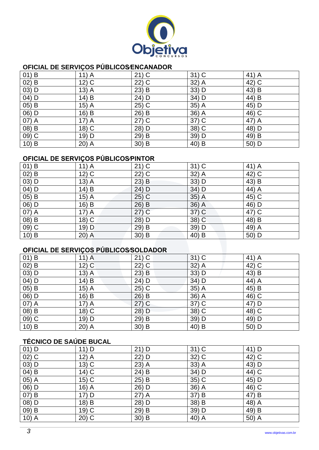

## **OFICIAL DE SERVIÇOS PÚBLICOS∕ENCANADOR**

| $01)$ B | $11)$ A | $21)$ C | $31)$ C | 41) A |
|---------|---------|---------|---------|-------|
| $02)$ B | $12)$ C | $22)$ C | 32) A   | 42) C |
| $03)$ D | $13)$ A | $23)$ B | 33) D   | 43) B |
| $04)$ D | $14)$ B | 24) D   | 34) D   | 44) B |
| 05) B   | $15)$ A | $25)$ C | 35) A   | 45) D |
| 06) D   | 16) B   | 26) B   | 36) A   | 46) C |
| 07) A   | $17)$ A | $27)$ C | 37) C   | 47) A |
| 08) B   | 18) C   | 28) D   | 38) C   | 48) D |
| $09)$ C | 19) D   | 29) B   | 39) D   | 49) B |
| $10)$ B | $20)$ A | $30)$ B | 40) B   | 50) D |

## **OFICIAL DE SERVIÇOS PÚBLICOS∕PINTOR**

| $01)$ B  | $11)$ A | $21)$ C | $31)$ C | 41) A |
|----------|---------|---------|---------|-------|
| $02)$ B  | $12)$ C | 22) C   | 32) A   | 42) C |
| 03) D    | $13)$ A | $23)$ B | 33) D   | 43) B |
| 04) D    | 14) B   | 24) D   | 34) D   | 44) A |
| $(05)$ B | $15)$ A | 25) C   | $35)$ A | 45) C |
| 06) D    | 16) B   | 26) B   | 36) A   | 46) D |
| 07) A    | $17)$ A | $27)$ C | 37) C   | 47) C |
| 08) B    | $18)$ C | 28) D   | 38) C   | 48) B |
| 09) C    | 19) D   | 29) B   | 39) D   | 49) A |
| $10)$ B  | $20)$ A | $30)$ B | 40) B   | 50) D |

# **OFICIAL DE SERVIÇOS PÚBLICOS∕SOLDADOR**

| $01)$ B | $11)$ A | $21)$ C | $31)$ C | 41) A |
|---------|---------|---------|---------|-------|
| $02)$ B | $12)$ C | $22)$ C | $32)$ A | 42) C |
| $03)$ D | $13)$ A | $23)$ B | 33) D   | 43) B |
| $04)$ D | 14) B   | 24) D   | 34) D   | 44) A |
| $05)$ B | $15)$ A | $25)$ C | 35) A   | 45) B |
| 06) D   | $16)$ B | $26)$ B | 36) A   | 46) C |
| 07) A   | $17)$ A | $27)$ C | $37)$ C | 47) D |
| 08) B   | 18) C   | 28) D   | 38) C   | 48) C |
| $09)$ C | 19) D   | 29) B   | 39) D   | 49) D |
| $10)$ B | $20)$ A | $30)$ B | 40) B   | 50) D |

# **TÉCNICO DE SAÚDE BUCAL**

| $01)$ D  | 11) D   | $21)$ D | $31)$ C | 41) D |
|----------|---------|---------|---------|-------|
| $02)$ C  | $12)$ A | 22) D   | $32)$ C | 42) C |
| $03)$ D  | $13)$ C | $23)$ A | 33) A   | 43) D |
| $04)$ B  | $14)$ C | 24) B   | 34) D   | 44) C |
| 05) A    | $15)$ C | $25)$ B | 35) C   | 45) D |
| 06) D    | $16)$ A | 26) D   | 36) A   | 46) C |
| $07)$ B  | 17) D   | $27)$ A | 37) B   | 47) B |
| 08) D    | 18) B   | 28) D   | 38) B   | 48) A |
| $(09)$ B | $19)$ C | 29) B   | 39) D   | 49) B |
| $10)$ A  | $20)$ C | $30)$ B | 40) A   | 50) A |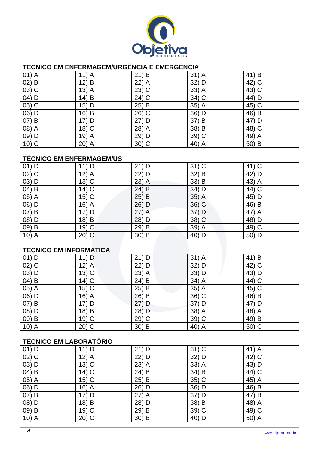

## **TÉCNICO EM ENFERMAGEM/URGÊNCIA E EMERGÊNCIA**

| $01)$ A | $11)$ A | $21)$ B | $31)$ A | 41) B   |
|---------|---------|---------|---------|---------|
| $02)$ B | $12)$ B | 22) A   | 32) D   | 42) C   |
| $03)$ C | $13)$ A | $23)$ C | 33) A   | $43)$ C |
| $04)$ D | $14)$ B | 24) C   | 34) C   | 44) D   |
| $05)$ C | 15) D   | 25) B   | 35) A   | 45) C   |
| 06) D   | $16)$ B | 26) C   | 36) D   | 46) B   |
| 07) B   | 17) D   | 27) D   | 37) B   | 47) D   |
| 08) A   | 18) C   | 28) A   | 38) B   | 48) C   |
| 09) D   | 19) A   | 29) D   | 39) C   | 49) A   |
| $10)$ C | $20)$ A | $30)$ C | 40) A   | 50) B   |

## **TÉCNICO EM ENFERMAGEM/US**

| $01)$ D | 11) D   | $21)$ D | $31)$ C | 41) C |
|---------|---------|---------|---------|-------|
| $02)$ C | $12)$ A | 22) D   | 32) B   | 42) D |
| $03)$ D | $13)$ C | $23)$ A | $33)$ B | 43) A |
| $04)$ B | $14)$ C | $24)$ B | 34) D   | 44) C |
| 05) A   | $15)$ C | $25)$ B | $35)$ A | 45) D |
| 06) D   | $16)$ A | 26) D   | 36) C   | 46) B |
| $07)$ B | 17) D   | $27)$ A | 37) D   | 47) A |
| 08) D   | 18) B   | 28) D   | 38) C   | 48) D |
| 09) B   | $19)$ C | 29) B   | 39) A   | 49) C |
| $10)$ A | $20)$ C | $30)$ B | 40) D   | 50) D |

# **TÉCNICO EM INFORMÁTICA**

| $01)$ D | $11)$ D | $21)$ D | $31)$ A | 41) B |
|---------|---------|---------|---------|-------|
| $02)$ C | $12)$ A | 22) D   | $32)$ D | 42) C |
| $03)$ D | $13)$ C | $23)$ A | 33) D   | 43) D |
| $04)$ B | $14)$ C | $24)$ B | 34) A   | 44) C |
| 05) A   | $15)$ C | $25)$ B | 35) A   | 45) C |
| 06) D   | $16)$ A | $26)$ B | 36) C   | 46) B |
| $07)$ B | $17)$ D | 27) D   | 37) D   | 47) D |
| 08) D   | 18) B   | 28) D   | 38) A   | 48) A |
| 09) B   | $19)$ C | 29) C   | 39) C   | 49) B |
| $10)$ A | $20)$ C | $30)$ B | 40) A   | 50) C |

## **TÉCNICO EM LABORATÓRIO**

| $01)$ D | 11) D   | $21)$ D | $31)$ C | 41) A |
|---------|---------|---------|---------|-------|
| $02)$ C | $12)$ A | 22) D   | 32) D   | 42) C |
| 03) D   | $13)$ C | $23)$ A | 33) A   | 43) D |
| $04)$ B | $14)$ C | 24) B   | 34) B   | 44) C |
| 05) A   | $15)$ C | $25)$ B | $35)$ C | 45) A |
| 06) D   | $16)$ A | 26) D   | 36) D   | 46) B |
| $07)$ B | $17)$ D | $27)$ A | 37) D   | 47) B |
| 08) D   | 18) B   | 28) D   | 38) B   | 48) A |
| 09) B   | $19)$ C | 29) B   | 39) C   | 49) C |
| $10)$ A | $20)$ C | $30)$ B | 40) D   | 50) A |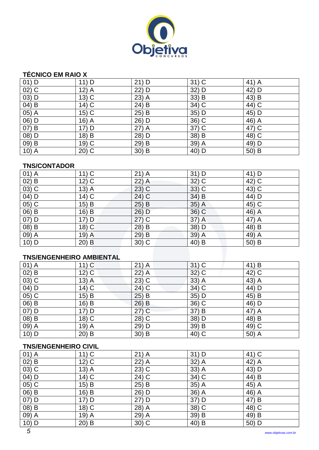

## **TÉCNICO EM RAIO X**

| $01)$ D | $11)$ D | $21)$ D | $31)$ C | 41) A |
|---------|---------|---------|---------|-------|
| $02)$ C | $12)$ A | 22) D   | 32) D   | 42) D |
| $03)$ D | $13)$ C | $23)$ A | 33) B   | 43) B |
| $04)$ B | $14)$ C | 24) B   | 34) C   | 44) C |
| 05) A   | $15)$ C | 25) B   | 35) D   | 45) D |
| 06) D   | $16)$ A | 26) D   | 36) C   | 46) A |
| 07) B   | $17)$ D | 27) A   | $37)$ C | 47) C |
| 08) D   | 18) B   | 28) D   | 38) B   | 48) C |
| 09) B   | $19)$ C | 29) B   | 39) A   | 49) D |
| $10)$ A | $20)$ C | $30)$ B | 40) D   | 50) B |

#### **TNS/CONTADOR**

| $01)$ A | $11)$ C | $21)$ A | $31)$ D | 41) D |
|---------|---------|---------|---------|-------|
| $02)$ B | $12)$ C | $22)$ A | 32) C   | 42) C |
| $03)$ C | $13)$ A | $23)$ C | 33) C   | 43) C |
| 04) D   | $14)$ C | 24) C   | $34)$ B | 44) D |
| 05) C   | 15) B   | 25) B   | 35) A   | 45) C |
| 06) B   | 16) B   | 26) D   | 36) C   | 46) A |
| 07) D   | 17) D   | $27)$ C | 37) A   | 47) A |
| 08) B   | 18) C   | 28) B   | 38) D   | 48) B |
| 09) A   | 19) A   | 29) B   | 39) A   | 49) A |
| $10)$ D | $20)$ B | $30)$ C | 40) B   | 50) B |

#### **TNS/ENGENHEIRO AMBIENTAL**

| $01)$ A  | $11)$ C | $21)$ A           | $31)$ C | 41) B              |
|----------|---------|-------------------|---------|--------------------|
| $02)$ B  | $12)$ C | $22)$ A           | 32) C   | 42) C              |
| $(03)$ C | $13)$ A | $23\overline{)C}$ | 33) A   | 43) $\overline{A}$ |
| $04)$ D  | $14)$ C | 24) C             | 34) C   | 44) D              |
| $05)$ C  | $15)$ B | $25)$ B           | 35) D   | 45) B              |
| 06) B    | 16) B   | $26)$ B           | 36) C   | 46) D              |
| 07) D    | $17)$ D | $27)$ C           | 37) B   | 47) A              |
| 08) B    | 18) C   | 28) C             | 38) D   | 48) B              |
| 09) A    | $19)$ A | 29) D             | 39) B   | 49) C              |
| $10)$ D  | $20)$ B | 30) B             | 40) C   | 50) A              |

#### **TNS/ENGENHEIRO CIVIL**

| $01)$ A                        | $11)$ C | $21)$ A | $31)$ D | 41) C |
|--------------------------------|---------|---------|---------|-------|
| $02)$ B                        | $12)$ C | 22) A   | 32) A   | 42) A |
| $(03)$ C                       | $13)$ A | $23)$ C | 33) A   | 43) D |
| $\overline{04}$ $\overline{D}$ | $14)$ C | 24) C   | 34) C   | 44) B |
| 05) C                          | $15)$ B | $25)$ B | 35) A   | 45) A |
| 06) B                          | 16) B   | 26) D   | 36) A   | 46) A |
| 07) D                          | $17)$ D | $27)$ D | 37) D   | 47) B |
| 08) B                          | 18) C   | 28) A   | 38) C   | 48) C |
| 09) A                          | $19)$ A | 29) A   | 39) B   | 49) B |
| $10)$ D                        | $20)$ B | 30) C   | 40) B   | 50) D |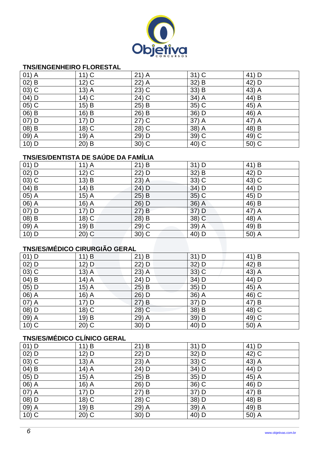

#### **TNS/ENGENHEIRO FLORESTAL**

| $01)$ A | $11)$ C | $21)$ A | $31)$ C | 41) D |
|---------|---------|---------|---------|-------|
| $02)$ B | $12)$ C | $22)$ A | $32)$ B | 42) D |
| $03)$ C | $13)$ A | $23)$ C | 33) B   | 43) A |
| $04)$ D | $14)$ C | 24) C   | 34) A   | 44) B |
| $05)$ C | 15) B   | 25) B   | 35) C   | 45) A |
| 06) B   | 16) B   | 26) B   | 36) D   | 46) A |
| $07)$ D | $17)$ D | $27)$ C | 37) A   | 47) A |
| 08) B   | 18) C   | 28) C   | 38) A   | 48) B |
| 09) A   | $19)$ A | 29) D   | 39) C   | 49) C |
| $10)$ D | $20)$ B | $30)$ C | 40) C   | 50) C |

# **TNS/ES/DENTISTA DE SAÚDE DA FAMÍLIA**

| $01)$ D               | $11)$ A | $21)$ B | $31)$ D | 41) B |
|-----------------------|---------|---------|---------|-------|
| $02)$ D               | $12)$ C | 22) D   | 32) B   | 42) D |
| $(03)$ C              | 13) B   | $23)$ A | 33) C   | 43) C |
| $(04)$ B              | $14)$ B | $24)$ D | 34) D   | 44) D |
| $(05)$ A              | $15)$ A | $25)$ B | 35) C   | 45) D |
| 06) A                 | 16) A   | 26) D   | 36) A   | 46) B |
| 07) D                 | 17) D   | 27) B   | 37) D   | 47) A |
| 08) B                 | 18) C   | 28) B   | 38) C   | 48) A |
| $(09)$ $\overline{A}$ | 19) B   | 29) C   | 39) A   | 49) B |
| $10)$ D               | $20)$ C | $30)$ C | 40) D   | 50) A |

# **TNS/ES/MÉDICO CIRURGIÃO GERAL**

| $01)$ D | 11) B   | $21)$ B | 31) D   | 41) B |
|---------|---------|---------|---------|-------|
| $02)$ D | 12) D   | 22) D   | $32)$ D | 42) B |
| $03)$ C | $13)$ A | $23)$ A | 33) C   | 43) A |
| $04)$ B | $14)$ A | 24) D   | 34) D   | 44) D |
| 05) D   | $15)$ A | $25)$ B | 35) D   | 45) A |
| 06) A   | $16)$ A | $26)$ D | 36) A   | 46) C |
| 07) A   | 17) D   | 27) B   | 37) D   | 47) B |
| 08) D   | $18)$ C | 28) C   | 38) B   | 48) C |
| 09) A   | 19) B   | 29) A   | 39) D   | 49) C |
| $10)$ C | $20)$ C | 30) D   | 40) D   | 50) A |

## **TNS/ES/MÉDICO CLÍNICO GERAL**

| $01)$ D  | 11) B   | $21)$ B | $31)$ D | 41) D |
|----------|---------|---------|---------|-------|
| $02)$ D  | 12) D   | 22) D   | 32) D   | 42) C |
| $(03)$ C | $13)$ A | $23)$ A | 33) C   | 43) A |
| 04) B    | $14)$ A | 24) D   | 34) D   | 44) D |
| 05) D    | $15)$ A | $25)$ B | 35) D   | 45) A |
| 06) A    | $16)$ A | 26) D   | 36) C   | 46) D |
| 07) A    | $17)$ D | 27) B   | 37) D   | 47) B |
| 08) D    | 18) C   | 28) C   | 38) D   | 48) B |
| $09)$ A  | 19) B   | 29) A   | 39) A   | 49) B |
| $10)$ C  | $20)$ C | $30)$ D | 40) D   | 50) A |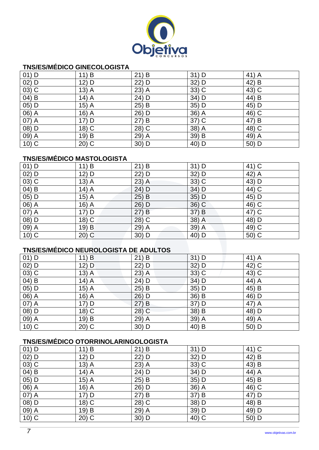

## **TNS/ES/MÉDICO GINECOLOGISTA**

| $01)$ D | 11) B   | $21)$ B | $31)$ D | 41) A |
|---------|---------|---------|---------|-------|
| $02)$ D | 12) D   | 22) D   | 32) D   | 42) B |
| $03)$ C | $13)$ A | 23) A   | 33) C   | 43) C |
| $04)$ B | $14)$ A | 24) D   | 34) D   | 44) B |
| 05) D   | $15)$ A | $25)$ B | 35) D   | 45) D |
| 06) A   | $16)$ A | 26) D   | 36) A   | 46) C |
| 07) A   | $17)$ D | 27) B   | 37) C   | 47) B |
| 08) D   | 18) C   | 28) C   | 38) A   | 48) C |
| 09) A   | 19) B   | 29) A   | 39) B   | 49) A |
| $10)$ C | $20)$ C | 30) D   | 40) D   | 50) D |

## **TNS/ES/MÉDICO MASTOLOGISTA**

| $01)$ D            | 11) B   | 21) B    | $31)$ D | 41) C |
|--------------------|---------|----------|---------|-------|
| $02)$ D            | $12)$ D | 22) D    | 32) D   | 42) A |
| $03)$ C            | $13)$ A | $23)$ A  | 33) C   | 43) D |
| 04) B              | $14)$ A | 24) D    | $34)$ D | 44) C |
| $05)$ D            | $15)$ A | $25)$ B  | $35)$ D | 45) D |
| $\overline{06)}$ A | $16)$ A | 26) D    | 36) C   | 46) C |
| 07) A              | $17)$ D | 27) B    | 37) B   | 47) C |
| 08) D              | $18)$ C | $(28)$ C | 38) A   | 48) D |
| 09) A              | 19) B   | 29) A    | 39) A   | 49) C |
| $10)$ C            | $20)$ C | $30)$ D  | 40) D   | 50) C |

# **TNS/ES/MÉDICO NEUROLOGISTA DE ADULTOS**

| $01)$ D | 11) B   | $21)$ B | $31)$ D | 41) A |
|---------|---------|---------|---------|-------|
| $02)$ D | $12)$ D | 22) D   | $32)$ D | 42) C |
| $03)$ C | $13)$ A | $23)$ A | 33) C   | 43) C |
| $04)$ B | $14)$ A | 24) D   | 34) D   | 44) A |
| 05) D   | $15)$ A | 25) B   | 35) D   | 45) B |
| 06) A   | $16)$ A | $26)$ D | 36) B   | 46) D |
| 07) A   | 17) D   | $27)$ B | 37) D   | 47) A |
| 08) D   | $18)$ C | 28) C   | 38) B   | 48) D |
| 09) A   | 19) B   | 29) A   | 39) A   | 49) A |
| $10)$ C | $20)$ C | 30) D   | 40) B   | 50) D |

# **TNS/ES/MÉDICO OTORRINOLARINGOLOGISTA**

| $01)$ D             | 11) B   | $21)$ B | $31)$ D | 41) C |
|---------------------|---------|---------|---------|-------|
| $02)$ D             | $12)$ D | 22) D   | 32) D   | 42) B |
| $\overline{03}$ ) C | $13)$ A | 23) A   | 33) C   | 43) B |
| $04)$ B             | $14)$ A | 24) D   | 34) D   | 44) A |
| 05) D               | $15)$ A | 25) B   | 35) D   | 45) B |
| $06)$ A             | $16)$ A | 26) D   | 36) A   | 46) C |
| 07) A               | $17)$ D | 27) B   | 37) B   | 47) D |
| 08) D               | 18) C   | 28) C   | 38) D   | 48) B |
| $09)$ A             | 19) B   | 29) A   | 39) D   | 49) D |
| $10)$ C             | $20)$ C | $30)$ D | 40) C   | 50) D |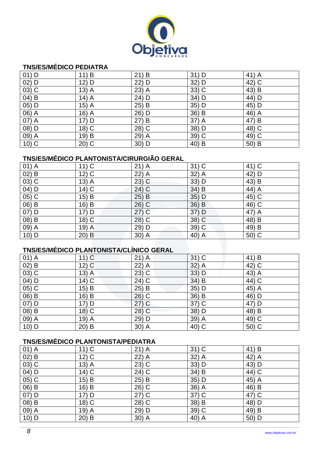

## **TNS/ES/MÉDICO PEDIATRA**

| $01)$ D  | 11) B   | $21)$ B | $31)$ D | 41) A |
|----------|---------|---------|---------|-------|
| $02)$ D  | $12)$ D | $22)$ D | $32)$ D | 42) C |
| $(03)$ C | $13)$ A | 23) A   | 33) C   | 43) B |
| $(04)$ B | $14)$ A | 24) D   | 34) D   | 44) D |
| 05) D    | $15)$ A | $25)$ B | 35) D   | 45) D |
| 06) A    | $16)$ A | 26) D   | 36) B   | 46) A |
| 07) A    | $17)$ D | 27) B   | 37) A   | 47) B |
| 08) D    | $18)$ C | 28) C   | 38) D   | 48) C |
| 09) A    | 19) B   | 29) A   | $39)$ C | 49) C |
| $10)$ C  | $20)$ C | 30) D   | 40) B   | 50) B |

## **TNS/ES/MÉDICO PLANTONISTA/CIRURGIÃO GERAL**

| $01)$ A            | $11)$ C | $21)$ A | $31)$ C | 41) C               |
|--------------------|---------|---------|---------|---------------------|
| $02)$ B            | $12)$ C | $22)$ A | 32) A   | 42) D               |
| $03)$ C            | $13)$ A | $23)$ C | 33) D   | 43) B               |
| 04) D              | $14)$ C | 24) C   | 34) B   | 44) A               |
| $\overline{05)}$ C | $15)$ B | $25)$ B | $35)$ D | 45) C               |
| $(06)$ B           | 16) B   | 26) C   | 36) B   | $\overline{46}$ ) C |
| $07)$ D            | 17) D   | $27)$ C | 37) D   | 47) A               |
| 08) B              | 18) C   | 28) C   | 38) C   | 48) B               |
| 09) A              | 19) A   | 29) D   | 39) C   | 49) B               |
| $10)$ D            | $20)$ B | 30) A   | 40) A   | 50) C               |

## **TNS/ES/MÉDICO PLANTONISTA/CLÍNICO GERAL**

| $01)$ A | $11)$ C | $21)$ A | $31)$ C | 41) B |
|---------|---------|---------|---------|-------|
| $02)$ B | $12)$ C | 22) A   | $32)$ A | 42) C |
| $03)$ C | $13)$ A | $23)$ C | 33) D   | 43) A |
| 04) D   | $14)$ C | 24) C   | 34) B   | 44) C |
| $05)$ C | 15) B   | 25) B   | 35) D   | 45) A |
| 06) B   | 16) B   | $26)$ C | 36) B   | 46) D |
| $07)$ D | 17) D   | $27)$ C | 37) C   | 47) D |
| 08) B   | $18)$ C | 28) C   | 38) D   | 48) B |
| 09) A   | 19) A   | 29) D   | 39) A   | 49) C |
| $10)$ D | $20)$ B | 30) A   | 40) C   | 50) C |

## **TNS/ES/MÉDICO PLANTONISTA/PEDIATRA**

| $01)$ A | $11)$ C | $21)$ A | $31)$ C | 41) B |
|---------|---------|---------|---------|-------|
| $02)$ B | $12)$ C | 22) A   | 32) A   | 42) A |
| $03)$ C | $13)$ A | $23)$ C | 33) D   | 43) D |
| 04) D   | $14)$ C | 24) C   | 34) B   | 44) C |
| 05) C   | $15)$ B | $25)$ B | 35) D   | 45) A |
| 06) B   | 16) B   | $26)$ C | 36) A   | 46) B |
| $07)$ D | 17) D   | $27)$ C | 37) C   | 47) C |
| 08) B   | 18) C   | 28) C   | 38) B   | 48) D |
| 09) A   | $19)$ A | 29) D   | 39) C   | 49) B |
| $10)$ D | $20)$ B | 30) A   | 40) A   | 50) D |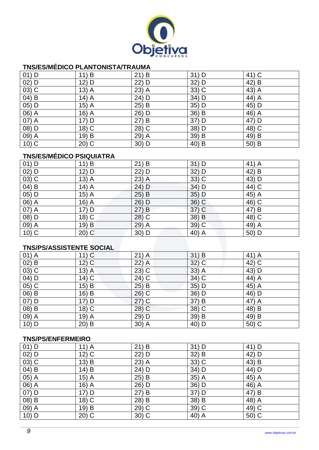

## **TNS/ES/MÉDICO PLANTONISTA/TRAUMA**

| $01)$ D | 11) B   | 21) B   | $31)$ D | 41) C |
|---------|---------|---------|---------|-------|
| $02)$ D | $12)$ D | $22)$ D | $32)$ D | 42) B |
| $03)$ C | $13)$ A | $23)$ A | 33) C   | 43) A |
| 04) B   | $14)$ A | 24) D   | 34) D   | 44) A |
| 05) D   | $15)$ A | $25)$ B | 35) D   | 45) D |
| 06) A   | $16)$ A | 26) D   | 36) B   | 46) A |
| 07) A   | $17)$ D | 27) B   | 37) D   | 47) D |
| 08) D   | 18) C   | 28) C   | 38) D   | 48) C |
| 09) A   | 19) B   | 29) A   | 39) B   | 49) B |
| $10)$ C | $20)$ C | 30) D   | 40) B   | 50) B |

### **TNS/ES/MÉDICO PSIQUIATRA**

| $01)$ D             | 11) B   | $21)$ B | $31)$ D | 41) A |
|---------------------|---------|---------|---------|-------|
| $02)$ D             | 12) D   | 22) D   | 32) D   | 42) B |
| $\overline{03}$ ) C | $13)$ A | $23)$ A | 33) C   | 43) D |
| $(04)$ B            | $14)$ A | 24) D   | 34) D   | 44) C |
| 05) D               | $15)$ A | 25) B   | 35) D   | 45) A |
| 06) A               | $16)$ A | 26) D   | 36) C   | 46) C |
| $\overline{07)}$ A  | $17)$ D | 27) B   | 37) C   | 47) B |
| 08) D               | 18) C   | 28) C   | 38) B   | 48) C |
| 09) A               | 19) B   | $29)$ A | 39) C   | 49) A |
| $\overline{10}$ ) C | $20)$ C | 30) D   | 40) A   | 50) D |

### **TNS/PS/ASSISTENTE SOCIAL**

| $01)$ A | $11)$ C | $21)$ A  | 31) B   | $41)$ A |
|---------|---------|----------|---------|---------|
| $02)$ B | $12)$ C | $22)$ A  | $32)$ C | 42) C   |
| $03)$ C | $13)$ A | $23)$ C  | $33)$ A | 43) D   |
| 04) D   | $14)$ C | 24) C    | 34) C   | 44) A   |
| $05)$ C | 15) B   | 25) B    | 35) D   | 45) A   |
| 06) B   | 16) B   | $26)$ C  | 36) D   | 46) D   |
| $07)$ D | 17) D   | $27)$ C  | 37) B   | 47) A   |
| 08) B   | 18) C   | $(28)$ C | 38) C   | 48) B   |
| 09) A   | $19)$ A | 29) D    | 39) B   | 49) B   |
| $10)$ D | $20)$ B | 30) A    | 40) D   | 50) C   |

### **TNS/PS/ENFERMEIRO**

| $01)$ D | $11)$ A | $21)$ B | $31)$ D | 41) D |
|---------|---------|---------|---------|-------|
| $02)$ D | $12)$ C | 22) D   | $32)$ B | 42) D |
| $03)$ C | 13) B   | $23)$ A | 33) C   | 43) B |
| $04)$ B | $14)$ B | 24) D   | 34) D   | 44) D |
| 05) A   | $15)$ A | $25)$ B | 35) A   | 45) A |
| 06) A   | $16)$ A | 26) D   | 36) D   | 46) A |
| 07) D   | $17)$ D | 27) B   | 37) D   | 47) B |
| 08) B   | $18)$ C | 28) B   | 38) B   | 48) A |
| 09) A   | 19) B   | 29) C   | $39)$ C | 49) C |
| $10)$ D | $20)$ C | $30)$ C | 40) A   | 50) C |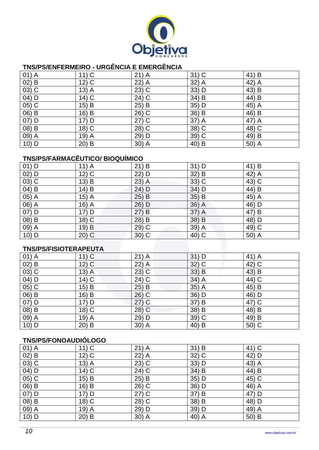

## **TNS/PS/ENFERMEIRO - URGÊNCIA E EMERGÊNCIA**

| $01)$ A | $11)$ C | $21)$ A | $31)$ C | 41) B |
|---------|---------|---------|---------|-------|
| $02)$ B | $12)$ C | $22)$ A | 32) A   | 42) A |
| $03)$ C | $13)$ A | 23) C   | 33) D   | 43) B |
| $04)$ D | $14)$ C | 24) C   | 34) B   | 44) B |
| $05)$ C | $15)$ B | 25) B   | 35) D   | 45) A |
| 06) B   | 16) B   | 26) C   | 36) B   | 46) B |
| $07)$ D | 17) D   | $27)$ C | 37) A   | 47) A |
| 08) B   | 18) C   | 28) C   | 38) C   | 48) C |
| 09) A   | $19)$ A | 29) D   | 39) C   | 49) B |
| $10)$ D | $20)$ B | 30) A   | 40) B   | 50) A |

# **TNS/PS/FARMACÊUTICO/ BIOQUÍMICO**

| $01)$ D | $11)$ A | $21)$ B | $31)$ D | 41) B |
|---------|---------|---------|---------|-------|
| $02)$ D | $12)$ C | 22) D   | 32) B   | 42) A |
| $03)$ C | 13) B   | $23)$ A | 33) C   | 43) C |
| 04) B   | 14) B   | 24) D   | 34) D   | 44) B |
| 05) A   | $15)$ A | 25) B   | $35)$ B | 45) A |
| 06) A   | $16)$ A | 26) D   | 36) A   | 46) D |
| 07) D   | 17) D   | 27) B   | 37) A   | 47) B |
| 08) B   | 18) C   | 28) B   | $38)$ B | 48) D |
| 09) A   | 19) B   | 29) C   | 39) A   | 49) C |
| 10) D   | $20)$ C | 30) C   | 40) C   | 50) A |

## **TNS/PS/FISIOTERAPEUTA**

| $01)$ A  | $11)$ C | $21)$ A | 31) D   | $41)$ A |
|----------|---------|---------|---------|---------|
| $02)$ B  | $12)$ C | $22)$ A | $32)$ C | 42) C   |
| $03)$ C  | $13)$ A | $23)$ C | $33)$ B | 43) B   |
| 04) D    | $14)$ C | 24) C   | 34) A   | 44) C   |
| $(05)$ C | 15) B   | $25)$ B | $35)$ A | 45) B   |
| 06) B    | 16) B   | $26)$ C | 36) D   | 46) D   |
| 07) D    | $17)$ D | $27)$ C | 37) B   | 47) C   |
| 08) B    | 18) C   | 28) C   | 38) B   | 48) B   |
| 09) A    | $19)$ A | 29) D   | 39) C   | 49) B   |
| $10)$ D  | $20)$ B | 30) A   | 40) B   | 50) C   |

#### **TNS/PS/FONOAUDIÓLOGO**

| $01)$ A | $11)$ C | $21)$ A | 31) B   | 41) C |
|---------|---------|---------|---------|-------|
| $02)$ B | $12)$ C | 22) A   | $32)$ C | 42) D |
| $03)$ C | $13)$ A | $23)$ C | 33) D   | 43) A |
| 04) D   | $14)$ C | 24) C   | 34) B   | 44) B |
| $05)$ C | $15)$ B | $25)$ B | 35) D   | 45) C |
| 06) B   | 16) B   | 26) C   | 36) D   | 46) A |
| $07)$ D | $17)$ D | $27)$ C | 37) B   | 47) D |
| 08) B   | 18) C   | 28) C   | 38) B   | 48) D |
| 09) A   | 19) A   | 29) D   | 39) D   | 49) A |
| $10)$ D | $20)$ B | $30)$ A | 40) A   | 50) B |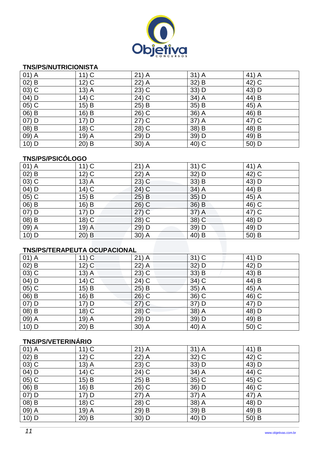

#### **TNS/PS/NUTRICIONISTA**

| $01)$ A           | $11)$ C | $21)$ A             | $31)$ A | 41) A |
|-------------------|---------|---------------------|---------|-------|
| $02)$ B           | $12)$ C | $22)$ A             | $32)$ B | 42) C |
| $03)$ C           | $13)$ A | $23)$ C             | $33)$ D | 43) D |
| 04) D             | $14)$ C | 24) C               | 34) A   | 44) B |
| 05) C             | $15)$ B | $25)$ B             | 35) B   | 45) A |
| 06) B             | 16) B   | 26) C               | 36) A   | 46) B |
| $\overline{O7}$ D | $17)$ D | $\overline{27}$ ) C | 37) A   | 47) C |
| 08) B             | $18)$ C | 28) C               | 38) B   | 48) B |
| 09) A             | $19)$ A | 29) D               | 39) D   | 49) B |
| 10) D             | $20)$ B | $30)$ A             | 40) C   | 50) D |

### **TNS/PS/PSICÓLOGO**

| $01)$ A  | $11)$ C | $21)$ A  | $31)$ C | 41) A |
|----------|---------|----------|---------|-------|
| $02)$ B  | $12)$ C | 22) A    | 32) D   | 42) C |
| $03)$ C  | $13)$ A | $23)$ C  | $33)$ B | 43) D |
| 04) D    | $14)$ C | 24) C    | $34)$ A | 44) B |
| $(05)$ C | $15)$ B | $25)$ B  | $35)$ D | 45) A |
| 06) B    | 16) B   | $26)$ C  | 36) B   | 46) C |
| $07)$ D  | 17) D   | $27)$ C  | 37) A   | 47) C |
| 08) B    | 18) C   | $(28)$ C | 38) C   | 48) D |
| 09) A    | 19) A   | 29) D    | 39) D   | 49) D |
| $10)$ D  | $20)$ B | $30)$ A  | 40) B   | 50) B |

### **TNS/PS/TERAPEUTA OCUPACIONAL**

| $01)$ A | $11)$ C | $21)$ A | $31)$ C | 41) D |
|---------|---------|---------|---------|-------|
| $02)$ B | $12)$ C | $22)$ A | 32) D   | 42) D |
| $03)$ C | $13)$ A | $23)$ C | 33) B   | 43) B |
| $04)$ D | $14)$ C | 24) C   | 34) C   | 44) B |
| 05) C   | $15)$ B | 25) B   | $35)$ A | 45) A |
| 06) B   | $16)$ B | $26)$ C | 36) C   | 46) C |
| $07)$ D | 17) D   | $27)$ C | 37) D   | 47) D |
| 08) B   | 18) C   | 28) C   | 38) A   | 48) D |
| 09) A   | $19)$ A | 29) D   | 39) D   | 49) B |
| $10)$ D | $20)$ B | $30)$ A | 40) A   | 50) C |

## **TNS/PS/VETERINÁRIO**

| $01)$ A | $11)$ C | $21)$ A | $31)$ A | 41) B |
|---------|---------|---------|---------|-------|
| $02)$ B | $12)$ C | 22) A   | $32)$ C | 42) C |
| $03)$ C | $13)$ A | $23)$ C | 33) D   | 43) D |
| 04) D   | $14)$ C | 24) C   | 34) A   | 44) C |
| $05)$ C | $15)$ B | $25)$ B | 35) C   | 45) C |
| 06) B   | 16) B   | 26) C   | 36) D   | 46) C |
| 07) D   | $17)$ D | $27)$ A | 37) A   | 47) A |
| 08) B   | $18)$ C | 28) C   | 38) A   | 48) D |
| 09) A   | 19) A   | 29) B   | 39) B   | 49) B |
| $10)$ D | $20)$ B | $30)$ D | 40) D   | 50) B |